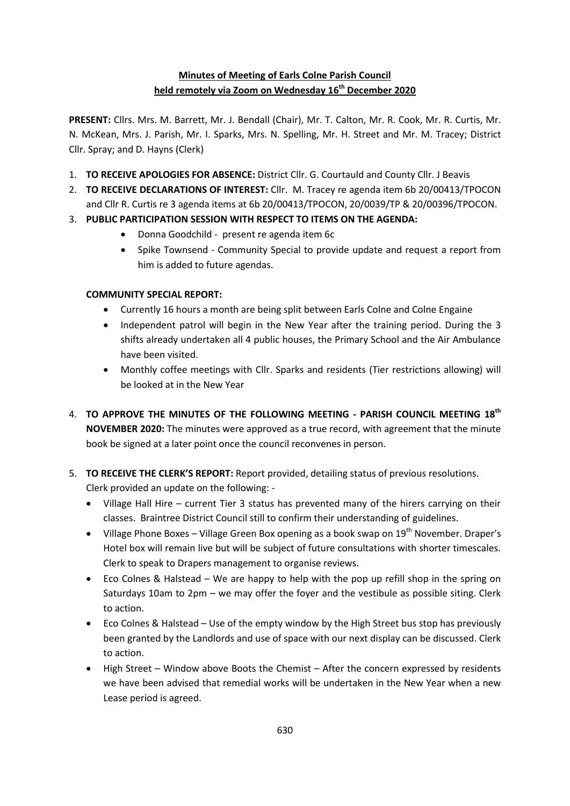# **Minutes of Meeting of Earls Colne Parish Council held remotely via Zoom on Wednesday 16 th December 2020**

**PRESENT:** Cllrs. Mrs. M. Barrett, Mr. J. Bendall (Chair), Mr. T. Calton, Mr. R. Cook, Mr. R. Curtis, Mr. N. McKean, Mrs. J. Parish, Mr. I. Sparks, Mrs. N. Spelling, Mr. H. Street and Mr. M. Tracey; District Cllr. Spray; and D. Hayns (Clerk)

- 1. **TO RECEIVE APOLOGIES FOR ABSENCE:** District Cllr. G. Courtauld and County Cllr. J Beavis
- 2. **TO RECEIVE DECLARATIONS OF INTEREST:** Cllr. M. Tracey re agenda item 6b 20/00413/TPOCON and Cllr R. Curtis re 3 agenda items at 6b 20/00413/TPOCON, 20/0039/TP & 20/00396/TPOCON.
- 3. **PUBLIC PARTICIPATION SESSION WITH RESPECT TO ITEMS ON THE AGENDA:**
	- Donna Goodchild present re agenda item 6c
	- Spike Townsend Community Special to provide update and request a report from him is added to future agendas.

# **COMMUNITY SPECIAL REPORT:**

- Currently 16 hours a month are being split between Earls Colne and Colne Engaine
- Independent patrol will begin in the New Year after the training period. During the 3 shifts already undertaken all 4 public houses, the Primary School and the Air Ambulance have been visited.
- Monthly coffee meetings with Cllr. Sparks and residents (Tier restrictions allowing) will be looked at in the New Year
- 4. **TO APPROVE THE MINUTES OF THE FOLLOWING MEETING - PARISH COUNCIL MEETING 18th NOVEMBER 2020:** The minutes were approved as a true record, with agreement that the minute book be signed at a later point once the council reconvenes in person.
- 5. **TO RECEIVE THE CLERK'S REPORT:** Report provided, detailing status of previous resolutions. Clerk provided an update on the following: -
	- Village Hall Hire current Tier 3 status has prevented many of the hirers carrying on their classes. Braintree District Council still to confirm their understanding of guidelines.
	- Village Phone Boxes Village Green Box opening as a book swap on  $19<sup>th</sup>$  November. Draper's Hotel box will remain live but will be subject of future consultations with shorter timescales. Clerk to speak to Drapers management to organise reviews.
	- Eco Colnes & Halstead We are happy to help with the pop up refill shop in the spring on Saturdays 10am to 2pm – we may offer the foyer and the vestibule as possible siting. Clerk to action.
	- Eco Colnes & Halstead Use of the empty window by the High Street bus stop has previously been granted by the Landlords and use of space with our next display can be discussed. Clerk to action.
	- High Street Window above Boots the Chemist After the concern expressed by residents we have been advised that remedial works will be undertaken in the New Year when a new Lease period is agreed.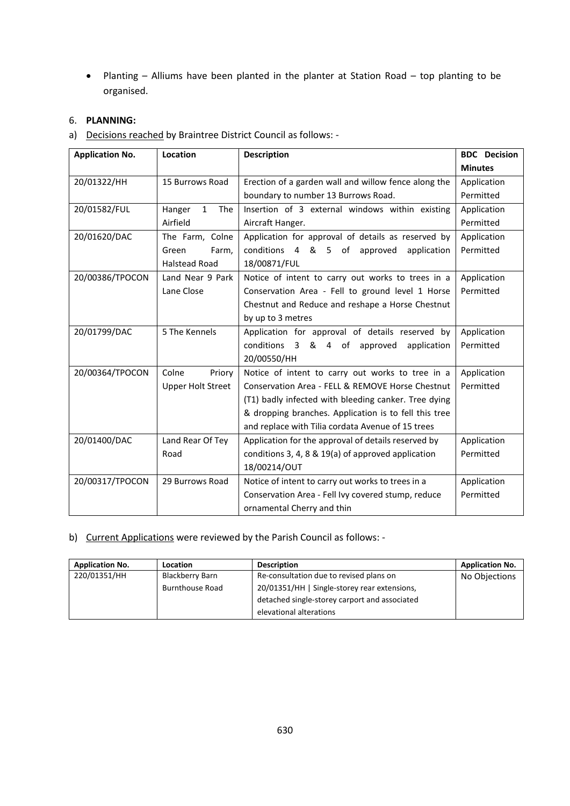Planting – Alliums have been planted in the planter at Station Road – top planting to be organised.

## 6. **PLANNING:**

a) Decisions reached by Braintree District Council as follows: -

| <b>Application No.</b> | Location                      | <b>Description</b>                                    | <b>BDC</b> Decision |
|------------------------|-------------------------------|-------------------------------------------------------|---------------------|
|                        |                               |                                                       | <b>Minutes</b>      |
| 20/01322/HH            | 15 Burrows Road               | Erection of a garden wall and willow fence along the  | Application         |
|                        |                               | boundary to number 13 Burrows Road.                   | Permitted           |
| 20/01582/FUL           | $\mathbf{1}$<br>Hanger<br>The | Insertion of 3 external windows within existing       | Application         |
|                        | Airfield                      | Aircraft Hanger.                                      | Permitted           |
| 20/01620/DAC           | The Farm, Colne               | Application for approval of details as reserved by    | Application         |
|                        | Farm,<br>Green                | conditions 4 & 5 of approved<br>application           | Permitted           |
|                        | <b>Halstead Road</b>          | 18/00871/FUL                                          |                     |
| 20/00386/TPOCON        | Land Near 9 Park              | Notice of intent to carry out works to trees in a     | Application         |
|                        | Lane Close                    | Conservation Area - Fell to ground level 1 Horse      | Permitted           |
|                        |                               | Chestnut and Reduce and reshape a Horse Chestnut      |                     |
|                        |                               | by up to 3 metres                                     |                     |
| 20/01799/DAC           | 5 The Kennels                 | Application for approval of details reserved by       | Application         |
|                        |                               | &<br>conditions 3<br>4 of<br>application<br>approved  | Permitted           |
|                        |                               | 20/00550/HH                                           |                     |
| 20/00364/TPOCON        | Colne<br>Priory               | Notice of intent to carry out works to tree in a      | Application         |
|                        | <b>Upper Holt Street</b>      | Conservation Area - FELL & REMOVE Horse Chestnut      | Permitted           |
|                        |                               | (T1) badly infected with bleeding canker. Tree dying  |                     |
|                        |                               | & dropping branches. Application is to fell this tree |                     |
|                        |                               | and replace with Tilia cordata Avenue of 15 trees     |                     |
| 20/01400/DAC           | Land Rear Of Tey              | Application for the approval of details reserved by   | Application         |
|                        | Road                          | conditions 3, 4, 8 & 19(a) of approved application    | Permitted           |
|                        |                               | 18/00214/OUT                                          |                     |
| 20/00317/TPOCON        | 29 Burrows Road               | Notice of intent to carry out works to trees in a     | Application         |
|                        |                               | Conservation Area - Fell Ivy covered stump, reduce    | Permitted           |
|                        |                               | ornamental Cherry and thin                            |                     |

## b) Current Applications were reviewed by the Parish Council as follows: -

| <b>Application No.</b> | Location               | <b>Description</b>                            | <b>Application No.</b> |
|------------------------|------------------------|-----------------------------------------------|------------------------|
| 220/01351/HH           | <b>Blackberry Barn</b> | Re-consultation due to revised plans on       | No Objections          |
|                        | <b>Burnthouse Road</b> | 20/01351/HH   Single-storey rear extensions,  |                        |
|                        |                        | detached single-storey carport and associated |                        |
|                        |                        | elevational alterations                       |                        |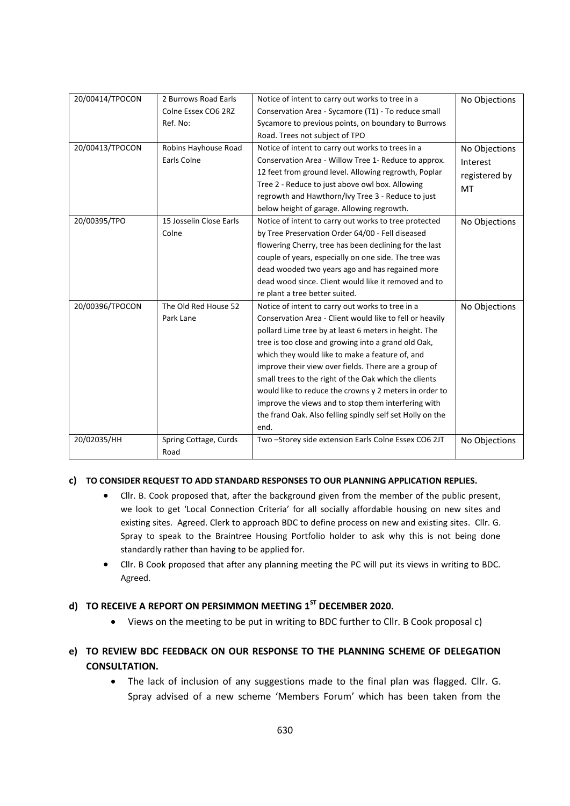| 20/00414/TPOCON | 2 Burrows Road Earls    | Notice of intent to carry out works to tree in a          | No Objections |
|-----------------|-------------------------|-----------------------------------------------------------|---------------|
|                 | Colne Essex CO6 2RZ     | Conservation Area - Sycamore (T1) - To reduce small       |               |
|                 | Ref. No:                | Sycamore to previous points, on boundary to Burrows       |               |
|                 |                         | Road. Trees not subject of TPO                            |               |
| 20/00413/TPOCON | Robins Hayhouse Road    | Notice of intent to carry out works to trees in a         | No Objections |
|                 | Earls Colne             | Conservation Area - Willow Tree 1- Reduce to approx.      | Interest      |
|                 |                         | 12 feet from ground level. Allowing regrowth, Poplar      | registered by |
|                 |                         | Tree 2 - Reduce to just above owl box. Allowing           | MT            |
|                 |                         | regrowth and Hawthorn/Ivy Tree 3 - Reduce to just         |               |
|                 |                         | below height of garage. Allowing regrowth.                |               |
| 20/00395/TPO    | 15 Josselin Close Earls | Notice of intent to carry out works to tree protected     | No Objections |
|                 | Colne                   | by Tree Preservation Order 64/00 - Fell diseased          |               |
|                 |                         | flowering Cherry, tree has been declining for the last    |               |
|                 |                         | couple of years, especially on one side. The tree was     |               |
|                 |                         | dead wooded two years ago and has regained more           |               |
|                 |                         | dead wood since. Client would like it removed and to      |               |
|                 |                         | re plant a tree better suited.                            |               |
| 20/00396/TPOCON | The Old Red House 52    | Notice of intent to carry out works to tree in a          | No Objections |
|                 | Park Lane               | Conservation Area - Client would like to fell or heavily  |               |
|                 |                         | pollard Lime tree by at least 6 meters in height. The     |               |
|                 |                         | tree is too close and growing into a grand old Oak,       |               |
|                 |                         | which they would like to make a feature of, and           |               |
|                 |                         | improve their view over fields. There are a group of      |               |
|                 |                         | small trees to the right of the Oak which the clients     |               |
|                 |                         | would like to reduce the crowns y 2 meters in order to    |               |
|                 |                         | improve the views and to stop them interfering with       |               |
|                 |                         | the frand Oak. Also felling spindly self set Holly on the |               |
|                 |                         | end.                                                      |               |
| 20/02035/HH     | Spring Cottage, Curds   | Two-Storey side extension Earls Colne Essex CO6 2JT       | No Objections |
|                 | Road                    |                                                           |               |

#### **c) TO CONSIDER REQUEST TO ADD STANDARD RESPONSES TO OUR PLANNING APPLICATION REPLIES.**

- Cllr. B. Cook proposed that, after the background given from the member of the public present, we look to get 'Local Connection Criteria' for all socially affordable housing on new sites and existing sites. Agreed. Clerk to approach BDC to define process on new and existing sites. Cllr. G. Spray to speak to the Braintree Housing Portfolio holder to ask why this is not being done standardly rather than having to be applied for.
- Cllr. B Cook proposed that after any planning meeting the PC will put its views in writing to BDC. Agreed.

# **d) TO RECEIVE A REPORT ON PERSIMMON MEETING 1ST DECEMBER 2020.**

Views on the meeting to be put in writing to BDC further to Cllr. B Cook proposal c)

# **e) TO REVIEW BDC FEEDBACK ON OUR RESPONSE TO THE PLANNING SCHEME OF DELEGATION CONSULTATION.**

 The lack of inclusion of any suggestions made to the final plan was flagged. Cllr. G. Spray advised of a new scheme 'Members Forum' which has been taken from the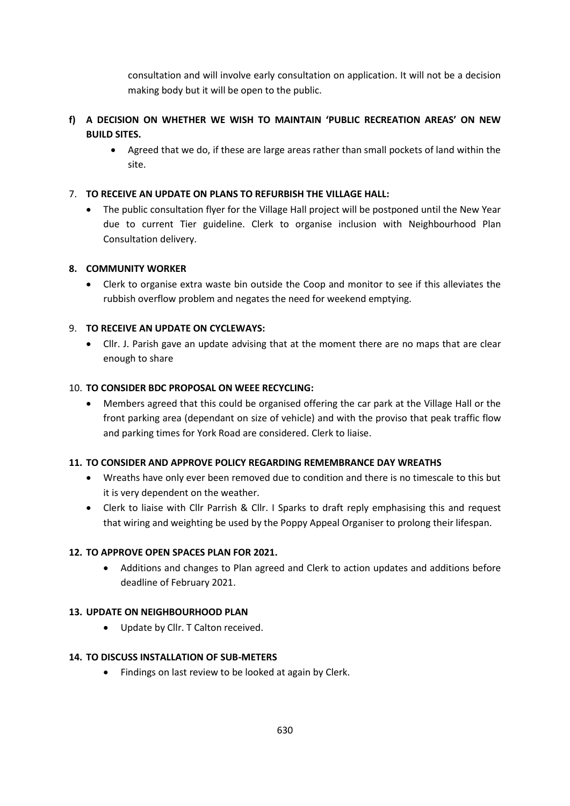consultation and will involve early consultation on application. It will not be a decision making body but it will be open to the public.

# **f) A DECISION ON WHETHER WE WISH TO MAINTAIN 'PUBLIC RECREATION AREAS' ON NEW BUILD SITES.**

 Agreed that we do, if these are large areas rather than small pockets of land within the site.

## 7. **TO RECEIVE AN UPDATE ON PLANS TO REFURBISH THE VILLAGE HALL:**

 The public consultation flyer for the Village Hall project will be postponed until the New Year due to current Tier guideline. Clerk to organise inclusion with Neighbourhood Plan Consultation delivery.

### **8. COMMUNITY WORKER**

 Clerk to organise extra waste bin outside the Coop and monitor to see if this alleviates the rubbish overflow problem and negates the need for weekend emptying.

### 9. **TO RECEIVE AN UPDATE ON CYCLEWAYS:**

 Cllr. J. Parish gave an update advising that at the moment there are no maps that are clear enough to share

## 10. **TO CONSIDER BDC PROPOSAL ON WEEE RECYCLING:**

 Members agreed that this could be organised offering the car park at the Village Hall or the front parking area (dependant on size of vehicle) and with the proviso that peak traffic flow and parking times for York Road are considered. Clerk to liaise.

#### **11. TO CONSIDER AND APPROVE POLICY REGARDING REMEMBRANCE DAY WREATHS**

- Wreaths have only ever been removed due to condition and there is no timescale to this but it is very dependent on the weather.
- Clerk to liaise with Cllr Parrish & Cllr. I Sparks to draft reply emphasising this and request that wiring and weighting be used by the Poppy Appeal Organiser to prolong their lifespan.

# **12. TO APPROVE OPEN SPACES PLAN FOR 2021.**

 Additions and changes to Plan agreed and Clerk to action updates and additions before deadline of February 2021.

#### **13. UPDATE ON NEIGHBOURHOOD PLAN**

• Update by Cllr. T Calton received.

#### **14. TO DISCUSS INSTALLATION OF SUB-METERS**

Findings on last review to be looked at again by Clerk.